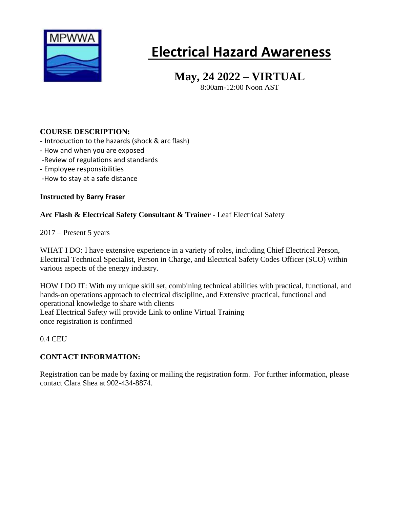

# **Electrical Hazard Awareness**

# **May, 24 2022 – VIRTUAL**

8:00am-12:00 Noon AST

# **COURSE DESCRIPTION:**

- Introduction to the hazards (shock & arc flash)
- How and when you are exposed
- -Review of regulations and standards
- Employee responsibilities
- -How to stay at a safe distance

#### **Instructed by Barry Fraser**

## **Arc Flash & Electrical Safety Consultant & Trainer -** Leaf [Electrical](https://ca.linkedin.com/company/leafelectricalsafety?trk=public_profile_experience-item_result-card_subtitle-click) Safety

2017 – Present 5 years

WHAT I DO: I have extensive experience in a variety of roles, including Chief Electrical Person, Electrical Technical Specialist, Person in Charge, and Electrical Safety Codes Officer (SCO) within various aspects of the energy industry.

HOW I DO IT: With my unique skill set, combining technical abilities with practical, functional, and hands-on operations approach to electrical discipline, and Extensive practical, functional and operational knowledge to share with clients Leaf [Electrical](https://ca.linkedin.com/company/leafelectricalsafety?trk=public_profile_experience-item_result-card_subtitle-click) Safety will provide Link to online Virtual Training once registration is confirmed

0.4 CEU

## **CONTACT INFORMATION:**

Registration can be made by faxing or mailing the registration form. For further information, please contact Clara Shea at 902-434-8874.